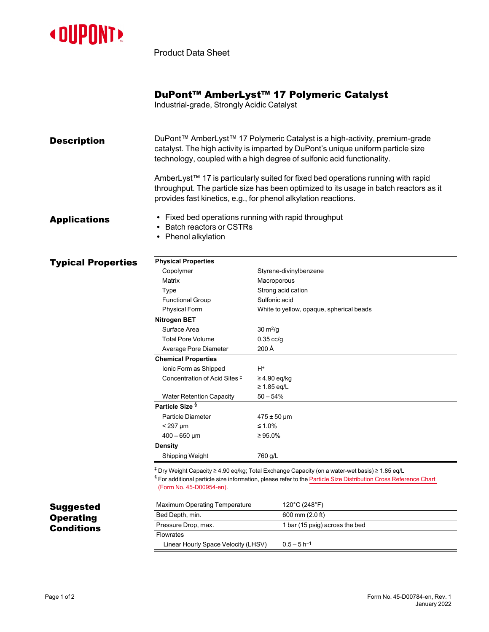

Product Data Sheet

Industrial-grade, Strongly Acidic Catalyst

**Description** DuPont<sup>™</sup> AmberLyst<sup>™</sup> 17 Polymeric Catalyst is a high-activity, premium-grade catalyst. The high activity is imparted by DuPont's unique uniform particle size technology, coupled with a high degree of sulfonic acid functionality.

> AmberLyst™ 17 is particularly suited for fixed bed operations running with rapid throughput. The particle size has been optimized to its usage in batch reactors as it provides fast kinetics, e.g., for phenol alkylation reactions.

- Applications Fixed bed operations running with rapid throughput
	- Batch reactors or CSTRs
	- Phenol alkylation

## **Typical Properties**

| <b>Physical Properties</b>      |                                          |
|---------------------------------|------------------------------------------|
| Copolymer                       | Styrene-divinylbenzene                   |
| Matrix                          | Macroporous                              |
| Type                            | Strong acid cation                       |
| <b>Functional Group</b>         | Sulfonic acid                            |
| <b>Physical Form</b>            | White to yellow, opaque, spherical beads |
| Nitrogen BET                    |                                          |
| Surface Area                    | $30 \text{ m}^2$ /g                      |
| <b>Total Pore Volume</b>        | $0.35$ cc/g                              |
| Average Pore Diameter           | 200 Å                                    |
| <b>Chemical Properties</b>      |                                          |
| Ionic Form as Shipped           | H+                                       |
| Concentration of Acid Sites #   | $\geq$ 4.90 eq/kg                        |
|                                 | $\geq 1.85$ eq/L                         |
| <b>Water Retention Capacity</b> | $50 - 54%$                               |
| Particle Size <sup>§</sup>      |                                          |
| Particle Diameter               | $475 \pm 50 \,\mu m$                     |
| $<$ 297 µm                      | $\leq 1.0\%$                             |
| $400 - 650 \,\mathrm{\upmu m}$  | $\geq 95.0\%$                            |
| Density                         |                                          |
| Shipping Weight                 | 760 g/L                                  |

‡ Dry Weight Capacity ≥ 4.90 eq/kg; Total Exchange Capacity (on a water-wet basis) ≥ 1.85 eq/L

§ For additional particle size information, please refer to the Particle Size [Distribution](https://www.dupont.com/content/dam/dupont/amer/us/en/water-solutions/public/documents/en/45-D00954-en.pdf) Cross Reference Chart [\(Form No. 45-D00954-en\)](http://www.dupont.com/content/dam/Dupont2.0/Products/water/literature/177-01775.pdf).

| Maximum Operating Temperature       | 120°C (248°F)                  |
|-------------------------------------|--------------------------------|
| Bed Depth, min.                     | 600 mm (2.0 ft)                |
| Pressure Drop, max.                 | 1 bar (15 psig) across the bed |
| <b>Flowrates</b>                    |                                |
| Linear Hourly Space Velocity (LHSV) | $0.5 - 5h^{-1}$                |

## Page 1 of 2 Form No. 45-D00784-en, Rev. 1 January 2022

Suggested **Operating Conditions**